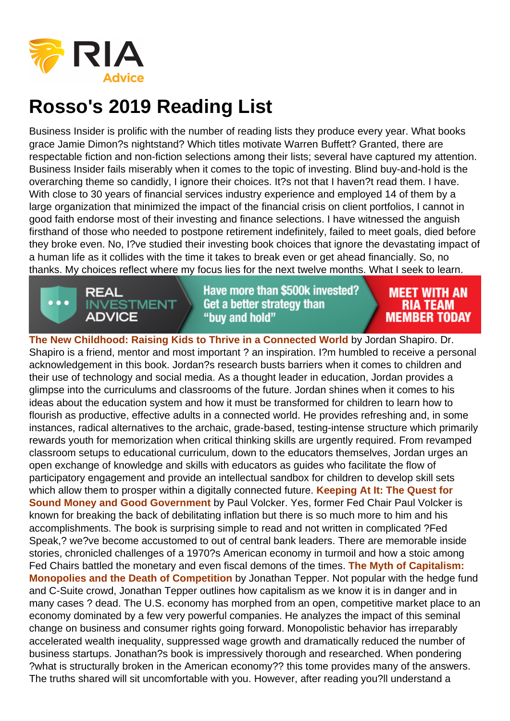Business Insider is prolific with the number of reading lists they produce every year. What books grace Jamie Dimon?s nightstand? Which titles motivate Warren Buffett? Granted, there are respectable fiction and non-fiction selections among their lists; several have captured my attention. Business Insider fails miserably when it comes to the topic of investing. Blind buy-and-hold is the overarching theme so candidly, I ignore their choices. It?s not that I haven?t read them. I have. With close to 30 years of financial services industry experience and employed 14 of them by a large organization that minimized the impact of the financial crisis on client portfolios, I cannot in good faith endorse most of their investing and finance selections. I have witnessed the anguish firsthand of those who needed to postpone retirement indefinitely, failed to meet goals, died before they broke even. No, I?ve studied their investing book choices that ignore the devastating impact of a human life as it collides with the time it takes to break even or get ahead financially. So, no thanks. My choices reflect where my focus lies for the next twelve months. What I seek to learn.

The New Childhood: Raising Kids to Thrive in a Connected World by Jordan Shapiro. Dr. Shapiro is a friend, mentor and most important ? an inspiration. I?m humbled to receive a personal acknowledgement in this book. Jordan?s research busts barriers when it comes to children and their use of technology and social media. As a thought leader in education, Jordan provides a glimpse into the curriculums and classrooms of the future. Jordan shines when it comes to his ideas about the education system and how it must be transformed for children to learn how to flourish as productive, effective adults in a connected world. He provides refreshing and, in some instances, radical alternatives to the archaic, grade-based, testing-intense structure which primarily rewards youth for memorization when critical thinking skills are urgently required. From revamped classroom setups to educational curriculum, down to the educators themselves, Jordan urges an open exchange of knowledge and skills with educators as guides who facilitate the flow of participatory engagement and provide an intellectual sandbox for children to develop skill sets which allow them to prosper within a digitally connected future. Keeping At It: The Quest for Sound Money and Good Government by Paul Volcker. Yes, former Fed Chair Paul Volcker is known for breaking the back of debilitating inflation but there is so much more to him and his accomplishments. The book is surprising simple to read and not written in complicated ?Fed Speak,? we?ve become accustomed to out of central bank leaders. There are memorable inside stories, chronicled challenges of a 1970?s American economy in turmoil and how a stoic among Fed Chairs battled the monetary and even fiscal demons of the times. The Myth of Capitalism: Monopolies and the Death of Competition by Jonathan Tepper. Not popular with the hedge fund and C-Suite crowd, Jonathan Tepper outlines how capitalism as we know it is in danger and in many cases ? dead. The U.S. economy has morphed from an open, competitive market place to an economy dominated by a few very powerful companies. He analyzes the impact of this seminal change on business and consumer rights going forward. Monopolistic behavior has irreparably accelerated wealth inequality, suppressed wage growth and dramatically reduced the number of business startups. Jonathan?s book is impressively thorough and researched. When pondering ?what is structurally broken in the American economy?? this tome provides many of the answers. The truths shared will sit uncomfortable with you. However, after reading you?ll understand a